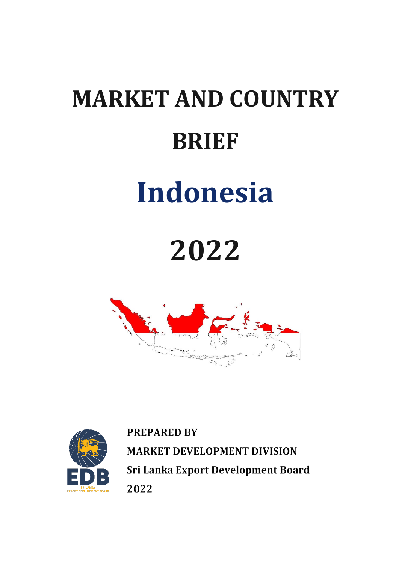# **MARKET AND COUNTRY BRIEF Indonesia**

## **2022**





**PREPARED BY MARKET DEVELOPMENT DIVISION** Sri Lanka Export Development Board 2022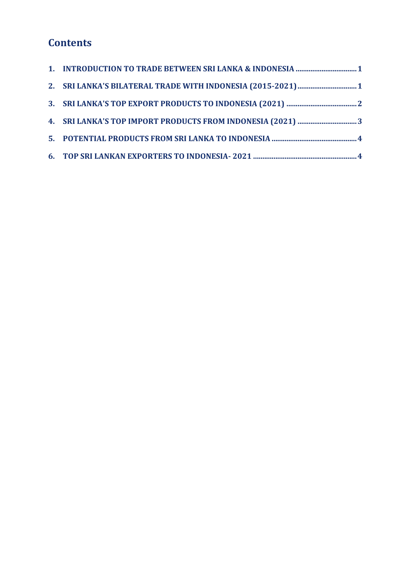### **Contents**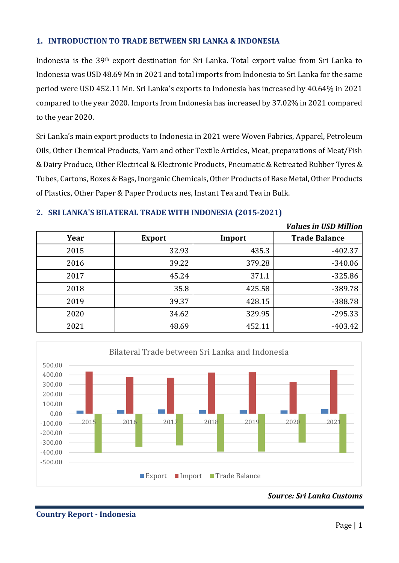#### <span id="page-2-0"></span>**1. INTRODUCTION TO TRADE BETWEEN SRI LANKA & INDONESIA**

Indonesia is the 39th export destination for Sri Lanka. Total export value from Sri Lanka to Indonesia was USD 48.69 Mn in 2021 and total imports from Indonesia to Sri Lanka for the same period were USD 452.11 Mn. Sri Lanka's exports to Indonesia has increased by 40.64% in 2021 compared to the year 2020. Imports from Indonesia has increased by 37.02% in 2021 compared to the year 2020.

Sri Lanka's main export products to Indonesia in 2021 were Woven Fabrics, Apparel, Petroleum Oils, Other Chemical Products, Yarn and other Textile Articles, Meat, preparations of Meat/Fish & Dairy Produce, Other Electrical & Electronic Products, Pneumatic & Retreated Rubber Tyres & Tubes, Cartons, Boxes & Bags, Inorganic Chemicals, Other Products of Base Metal, Other Products of Plastics, Other Paper & Paper Products nes, Instant Tea and Tea in Bulk.

#### <span id="page-2-1"></span>**2. SRI LANKA'S BILATERAL TRADE WITH INDONESIA (2015-2021)**

|      |               |        | <b>Values in USD Million</b> |
|------|---------------|--------|------------------------------|
| Year | <b>Export</b> | Import | <b>Trade Balance</b>         |
| 2015 | 32.93         | 435.3  | $-402.37$                    |
| 2016 | 39.22         | 379.28 | $-340.06$                    |
| 2017 | 45.24         | 371.1  | $-325.86$                    |
| 2018 | 35.8          | 425.58 | -389.78                      |
| 2019 | 39.37         | 428.15 | $-388.78$                    |
| 2020 | 34.62         | 329.95 | $-295.33$                    |
| 2021 | 48.69         | 452.11 | $-403.42$                    |



*Source: Sri Lanka Customs*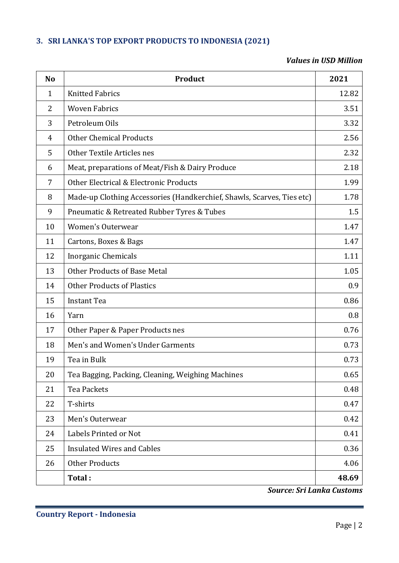#### <span id="page-3-0"></span>**3. SRI LANKA'S TOP EXPORT PRODUCTS TO INDONESIA (2021)**

#### *Values in USD Million*

| N <sub>o</sub> | Product                                                                | 2021  |
|----------------|------------------------------------------------------------------------|-------|
| $\mathbf{1}$   | <b>Knitted Fabrics</b>                                                 | 12.82 |
| 2              | <b>Woven Fabrics</b>                                                   | 3.51  |
| 3              | Petroleum Oils                                                         | 3.32  |
| $\overline{4}$ | <b>Other Chemical Products</b>                                         | 2.56  |
| 5              | Other Textile Articles nes                                             | 2.32  |
| 6              | Meat, preparations of Meat/Fish & Dairy Produce                        | 2.18  |
| 7              | Other Electrical & Electronic Products                                 | 1.99  |
| 8              | Made-up Clothing Accessories (Handkerchief, Shawls, Scarves, Ties etc) | 1.78  |
| 9              | Pneumatic & Retreated Rubber Tyres & Tubes                             | 1.5   |
| 10             | <b>Women's Outerwear</b>                                               | 1.47  |
| 11             | Cartons, Boxes & Bags                                                  | 1.47  |
| 12             | Inorganic Chemicals                                                    | 1.11  |
| 13             | <b>Other Products of Base Metal</b>                                    | 1.05  |
| 14             | <b>Other Products of Plastics</b>                                      | 0.9   |
| 15             | <b>Instant Tea</b>                                                     | 0.86  |
| 16             | Yarn                                                                   | 0.8   |
| 17             | Other Paper & Paper Products nes                                       | 0.76  |
| 18             | Men's and Women's Under Garments                                       | 0.73  |
| 19             | Tea in Bulk                                                            | 0.73  |
| 20             | Tea Bagging, Packing, Cleaning, Weighing Machines                      | 0.65  |
| 21             | Tea Packets                                                            | 0.48  |
| 22             | T-shirts                                                               | 0.47  |
| 23             | Men's Outerwear                                                        | 0.42  |
| 24             | Labels Printed or Not                                                  | 0.41  |
| 25             | <b>Insulated Wires and Cables</b>                                      | 0.36  |
| 26             | <b>Other Products</b>                                                  | 4.06  |
|                | Total:                                                                 | 48.69 |

*Source: Sri Lanka Customs*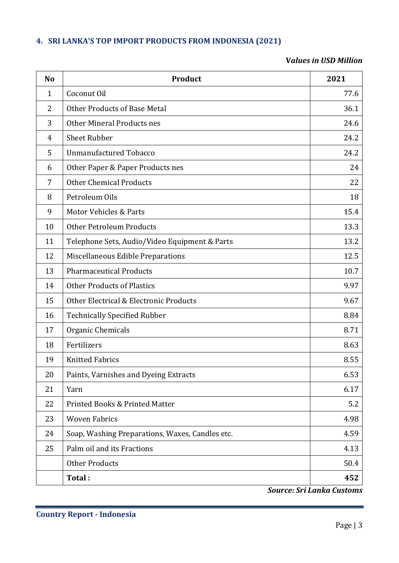#### <span id="page-4-0"></span>**4. SRI LANKA'S TOP IMPORT PRODUCTS FROM INDONESIA (2021)**

#### **V***alues in USD Million*

| N <sub>o</sub> | Product                                         | 2021 |
|----------------|-------------------------------------------------|------|
| $\mathbf{1}$   | Coconut Oil                                     | 77.6 |
| 2              | <b>Other Products of Base Metal</b>             | 36.1 |
| 3              | Other Mineral Products nes                      | 24.6 |
| 4              | <b>Sheet Rubber</b>                             | 24.2 |
| 5              | <b>Unmanufactured Tobacco</b>                   | 24.2 |
| 6              | Other Paper & Paper Products nes                | 24   |
| 7              | <b>Other Chemical Products</b>                  | 22   |
| 8              | Petroleum Oils                                  | 18   |
| 9              | <b>Motor Vehicles &amp; Parts</b>               | 15.4 |
| 10             | <b>Other Petroleum Products</b>                 | 13.3 |
| 11             | Telephone Sets, Audio/Video Equipment & Parts   | 13.2 |
| 12             | Miscellaneous Edible Preparations               | 12.5 |
| 13             | <b>Pharmaceutical Products</b>                  | 10.7 |
| 14             | <b>Other Products of Plastics</b>               | 9.97 |
| 15             | Other Electrical & Electronic Products          | 9.67 |
| 16             | <b>Technically Specified Rubber</b>             | 8.84 |
| 17             | Organic Chemicals                               | 8.71 |
| 18             | Fertilizers                                     | 8.63 |
| 19             | <b>Knitted Fabrics</b>                          | 8.55 |
| 20             | Paints, Varnishes and Dyeing Extracts           | 6.53 |
| 21             | Yarn                                            | 6.17 |
| 22             | <b>Printed Books &amp; Printed Matter</b>       | 5.2  |
| 23             | <b>Woven Fabrics</b>                            | 4.98 |
| 24             | Soap, Washing Preparations, Waxes, Candles etc. | 4.59 |
| 25             | Palm oil and its Fractions                      | 4.13 |
|                | <b>Other Products</b>                           | 50.4 |
|                | Total:                                          | 452  |

*Source: Sri Lanka Customs*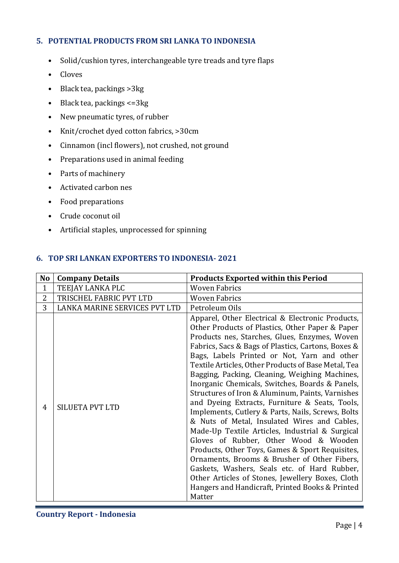#### <span id="page-5-0"></span>**5. POTENTIAL PRODUCTS FROM SRI LANKA TO INDONESIA**

- Solid/cushion tyres, interchangeable tyre treads and tyre flaps
- Cloves
- Black tea, packings >3kg
- Black tea, packings <=3kg
- New pneumatic tyres, of rubber
- Knit/crochet dyed cotton fabrics, >30cm
- Cinnamon (incl flowers), not crushed, not ground
- Preparations used in animal feeding
- Parts of machinery
- Activated carbon nes
- Food preparations
- Crude coconut oil
- Artificial staples, unprocessed for spinning

#### <span id="page-5-1"></span>**6. TOP SRI LANKAN EXPORTERS TO INDONESIA- 2021**

| N <sub>o</sub> | <b>Company Details</b>        | <b>Products Exported within this Period</b>                                                                                                                                                                                                                                                                                                                                                                                                                                                                                                                                                                                                                                                                                                                                                                                                                                                                                                                                                      |
|----------------|-------------------------------|--------------------------------------------------------------------------------------------------------------------------------------------------------------------------------------------------------------------------------------------------------------------------------------------------------------------------------------------------------------------------------------------------------------------------------------------------------------------------------------------------------------------------------------------------------------------------------------------------------------------------------------------------------------------------------------------------------------------------------------------------------------------------------------------------------------------------------------------------------------------------------------------------------------------------------------------------------------------------------------------------|
| $\mathbf{1}$   | TEEJAY LANKA PLC              | <b>Woven Fabrics</b>                                                                                                                                                                                                                                                                                                                                                                                                                                                                                                                                                                                                                                                                                                                                                                                                                                                                                                                                                                             |
| 2              | TRISCHEL FABRIC PVT LTD       | <b>Woven Fabrics</b>                                                                                                                                                                                                                                                                                                                                                                                                                                                                                                                                                                                                                                                                                                                                                                                                                                                                                                                                                                             |
| 3              | LANKA MARINE SERVICES PVT LTD | Petroleum Oils                                                                                                                                                                                                                                                                                                                                                                                                                                                                                                                                                                                                                                                                                                                                                                                                                                                                                                                                                                                   |
| 4              | SILUETA PVT LTD               | Apparel, Other Electrical & Electronic Products,<br>Other Products of Plastics, Other Paper & Paper<br>Products nes, Starches, Glues, Enzymes, Woven<br>Fabrics, Sacs & Bags of Plastics, Cartons, Boxes &<br>Bags, Labels Printed or Not, Yarn and other<br>Textile Articles, Other Products of Base Metal, Tea<br>Bagging, Packing, Cleaning, Weighing Machines,<br>Inorganic Chemicals, Switches, Boards & Panels,<br>Structures of Iron & Aluminum, Paints, Varnishes<br>and Dyeing Extracts, Furniture & Seats, Tools,<br>Implements, Cutlery & Parts, Nails, Screws, Bolts<br>& Nuts of Metal, Insulated Wires and Cables,<br>Made-Up Textile Articles, Industrial & Surgical<br>Gloves of Rubber, Other Wood & Wooden<br>Products, Other Toys, Games & Sport Requisites,<br>Ornaments, Brooms & Brusher of Other Fibers,<br>Gaskets, Washers, Seals etc. of Hard Rubber,<br>Other Articles of Stones, Jewellery Boxes, Cloth<br>Hangers and Handicraft, Printed Books & Printed<br>Matter |

**Country Report - Indonesia**